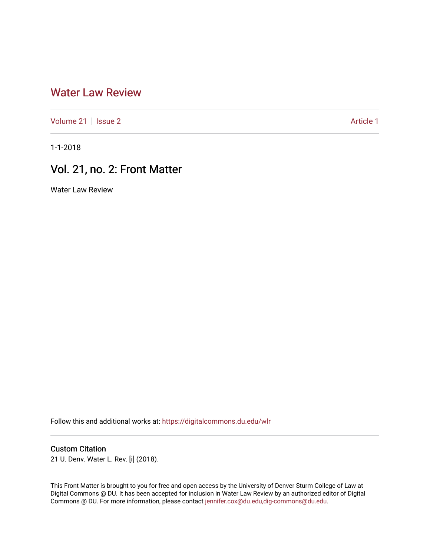## [Water Law Review](https://digitalcommons.du.edu/wlr)

[Volume 21](https://digitalcommons.du.edu/wlr/vol21) | [Issue 2](https://digitalcommons.du.edu/wlr/vol21/iss2) Article 1

1-1-2018

## Vol. 21, no. 2: Front Matter

Water Law Review

Follow this and additional works at: [https://digitalcommons.du.edu/wlr](https://digitalcommons.du.edu/wlr?utm_source=digitalcommons.du.edu%2Fwlr%2Fvol21%2Fiss2%2F1&utm_medium=PDF&utm_campaign=PDFCoverPages) 

#### Custom Citation

21 U. Denv. Water L. Rev. [i] (2018).

This Front Matter is brought to you for free and open access by the University of Denver Sturm College of Law at Digital Commons @ DU. It has been accepted for inclusion in Water Law Review by an authorized editor of Digital Commons @ DU. For more information, please contact [jennifer.cox@du.edu,dig-commons@du.edu.](mailto:jennifer.cox@du.edu,dig-commons@du.edu)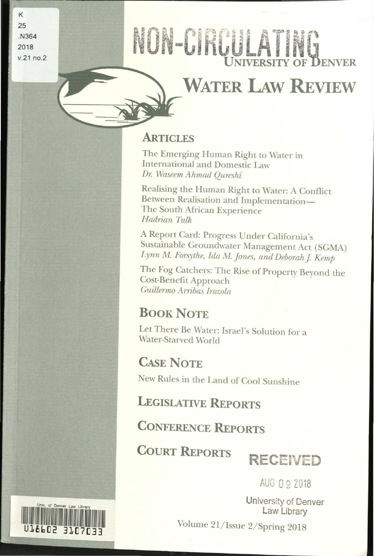K 25 .N364 2018 v.21 no.2

1T9FD5

# NON-CIRCULATING

## **WATER LAw REVIEW**

## **ARTICLES**

The Emerging Human Right to Water in International and Domestic Law *Dr. Waseem Ahmad Oureshi* 

Realising the Human Right to Water: A Conflict Between Realisation and Implementation-The South Mrican Experience *Hadrian Tulk* 

A Report Card: Progress Under California's Sustainable Groundwater Management Act (SGMA) Lynn M. Forsythe, Ida M. Jones, and Deborah J. Kemp

The Fog Catchers: The Rise of Property Beyond the Cost-Benefit Approach *Guillermo A rribas /razola* 

## **BOOK NOTE**

Let There Be Water: Israel's Solution for a Water-Starved World

## **CAsE NOTE**

New Rules in the Land of Cool Sunshine

**LEGISlATIVE REPORTS** 

**CONFERENCE REPORTS** 

**COURT REPORTS RECEIVED** 

AUG 0 9 Z018

University of Denver **Law** Library

Volume 21/ Issue 2/ Spring 2018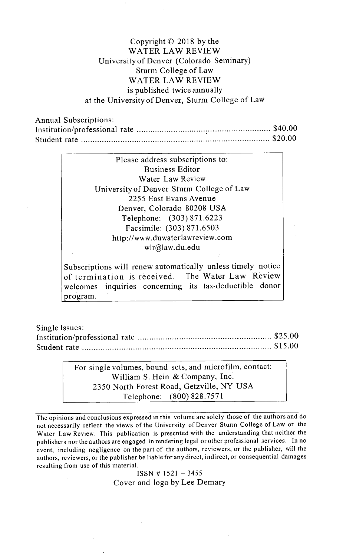#### Copyright **C 2018 by** the WATER LAW REVIEW University of Denver (Colorado Seminary) Sturm College of Law WATER LAW REVIEW is published twice annually at the University of Denver, Sturm College of Law

Annual Subscriptions: Institution/professional rate **................................** \$40.00 Student rate **............................................** \$20.00

| Please address subscriptions to:          |
|-------------------------------------------|
| <b>Business Editor</b>                    |
| Water Law Review                          |
| University of Denver Sturm College of Law |
| 2255 East Evans Avenue                    |
| Denver, Colorado 80208 USA                |
| Telephone: (303) 871.6223                 |
| Facsimile: (303) 871.6503                 |
| http://www.duwaterlawreview.com           |
| wlr@law.du.edu                            |
|                                           |

Subscriptions will renew automatically unless timely notice of termination is received. The Water Law Review welcomes inquiries concerning its tax-deductible donor program.

Single Issues: Institution/professional rate **................................ \$25.00** Student rate **............................................** *\$15.00*

> For single volumes, bound sets, and microfilm, contact: William **S.** Hein **&** Company, Inc. **2350** North Forest Road, Getzville, NY **USA** Telephone: **(800) 828.7571**

The opinions and conclusions expressed in this volume are solely those of the authors and do not necessarily reflect the views of the University of Denver Sturm College of Law or the Water Law Review. This publication is presented with the understanding that neither the publishers nor the authors are engaged in rendering legal or other professional services. In no event, including negligence on the part of the authors, reviewers, or the publisher, will the authors, reviewers, or the publisher be liable for any direct, indirect, or consequential damages resulting from use of this material.

> **ISSN # 1521 - 3455** Cover and logo **by** Lee Demary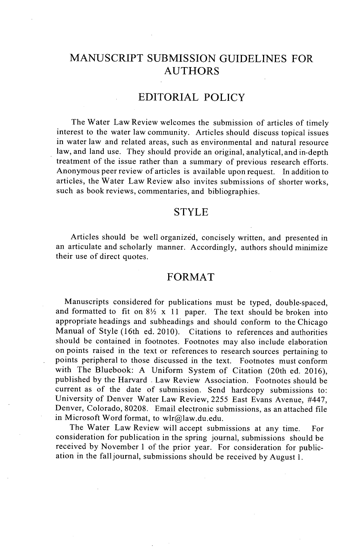### **MANUSCRIPT SUBMISSION GUIDELINES** FOR **AUTHORS**

#### EDITORIAL POLICY

The Water Law Review welcomes the submission of articles of timely interest to the water law community. Articles should discuss topical issues in water law and related areas, such as environmental and natural resource law, and land use. They should provide an original, analytical, and in-depth treatment of the issue rather than a summary of previous research efforts. Anonymous peer review of articles is available upon request. In addition to articles, the Water Law Review also invites submissions of shorter works, such as book reviews, commentaries, and bibliographies.

#### STYLE

Articles should be well organized, concisely written, and presented in an articulate and scholarly manner. Accordingly, authors should minimize their use of direct quotes.

#### FORMAT

Manuscripts considered for publications must be typed, double-spaced, and formatted to fit on  $8\frac{1}{2}$  x 11 paper. The text should be broken into appropriate headings and subheadings and should conform to the Chicago Manual of Style (16th ed. 2010). Citations to references and authorities should be contained in footnotes. Footnotes may also include elaboration on points raised in the text or references to research sources pertaining to points peripheral to those discussed in the text. Footnotes must conform with The Bluebook: **A** Uniform System of Citation (20th ed. **2016),** published **by** the Harvard **.** Law Review Association. Footnotes should be current as of the date of submission. Send hardcopy submissions to: University of Denver Water Law Review, **2255** East Evans Avenue, #447, Denver, Colorado, **80208.** Email electronic submissions, as an attached file in Microsoft Word format, to wlr@law.du.edu.

The Water Law Review will accept submissions at any time. For consideration for publication in the spring journal, submissions should be received **by** November 1 of the prior year. For consideration for publication in the fall journal, submissions should be received **by** August **1.**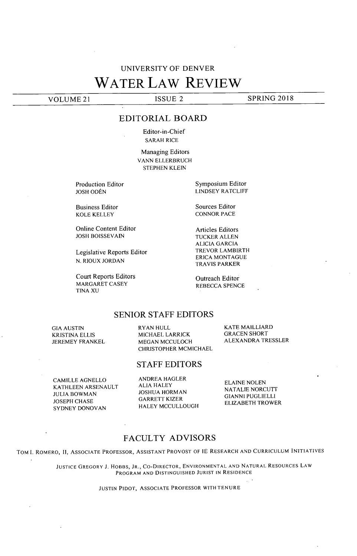## **UNIVERSITY** OF DENVER WATER **LAW** REVIEW

**VOLUME** 21 **ISSUE** 2 **SPRING 2018**

#### EDITORIAL BOARD

Editor-in-Chief SARAH RICE

Managing Editors VANN ELLERBRUCH **STEPHEN KLEIN**

Production Editor **JOSH ODÉN** 

Business Editor KOLE KELLEY

Online Content Editor **JOSH BOISSEVAIN**

Legislative Reports Editor **N.** RIOUX **JORDAN**

Court Reports Editors MARGARET **CASEY TINA XU**

Symposium Editor LINDSEY RATCLIFF

Sources Editor **CONNOR PACE**

Articles Editors TUCKER **ALLEN ALICIA GARCIA** TREVOR LAMBIRTH ERICA **MONTAGUE** TRAVIS PARKER

Outreach Editor REBECCA **SPENCE**

#### **SENIOR STAFF** EDITORS

**GIA AUSTIN** KRISTINA ELLIS **JEREMEY** FRANKEL RYAN **HULL MICHAEL** LARRICK **MEGAN MCCULOCH** CHRISTOPHER **MCMICHAEL** KATE MAILLIARD **GRACEN** SHORT ALEXANDRA TRESSLER

#### **STAFF** EDITORS

**CAMILLE AGNELLO KATHLEEN ARSENAULT JULIA** BOWMAN **JOSEPH CHASE** SYDNEY **DONOVAN**

**ANDREA** HAGLER **ALIA** HALEY **JOSHUA** HORMAN GARRETT KIZER HALEY **MCCULLOUGH4**

**ELAINE NOLEN NATALIE NORCUTT GIANNI PUGLIELLI** ELIZABETH TROWER

#### **FACULTY** ADVISORS

TOM **I.** ROMERO, **II, ASSOCIATE** PROFESSOR, **ASSISTANT** PROVOST OF **IE** RESEARCH **AND CURRICULUM INITIATIVES**

**JUSTICE** GREGORY **J.** HOBBS, JR., CO-DIRECTOR, **ENVIRONMENTAL AND NATURAL** RESOURCES LAW PROGRAM **AND DISTINGUISHED JURIST IN RESIDENCE**

**JUSTIN** PIDOT, **ASSOCIATE** PROFESSOR WITH **TENURE**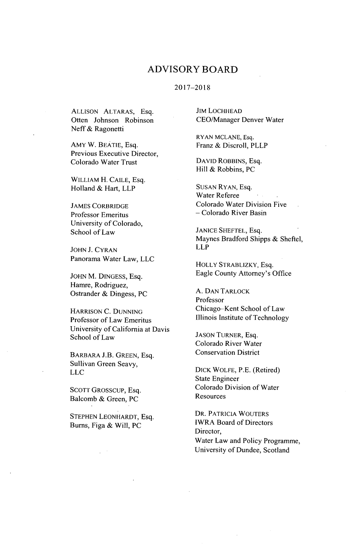#### ADVISORY BOARD

#### **2017-2018**

**ALLISON** ALTARAS, Esq. Often Johnson Robinson Neff **&** Ragonetti

AMY W. BEATIE, Esq. Previous Executive Director, Colorado Water Trust

WILLIAM H. **CALE,** Esq. Holland **&** Hart, LLP

**JAMES** CORBRIDGE Professor Emeritus University of Colorado, School of Law

**JOHN J. CYRAN** Panorama Water Law, **LLC**

JOHN M. **DINGESS,** Esq. Hamre, Rodriguez, Ostrander **&** Dingess, **PC**

HARRISON **C. DUNNING** Professor of Law Emeritus University of California at Davis School of Law

BARBARA **J.B. GREEN,** Esq. Sullivan Green Seavy, **LLC**

**SCOTT** GROSSCUP, Esq. Balcomb **&** Green, **PC**

**STEPHEN** LEONHARDT, Esq. Burns, Figa **&** Will, **PC**

**JIM LOCHHEAD** CEO/Manager Denver Water

RYAN **MCLANE,** Esq. Franz **&** Discroll, PLLP

**DAVID** ROBBINS, Esq. Hill **&** Robbins, **PC**

**SUSAN** RYAN, Esq. Water Referee Colorado Water Division Five **-** Colorado River Basin

**JANICE SHEFTEL,** Esq. Maynes Bradford Shipps **&** Sheftel, LLP

HOLLY STRABLIZKY, Esq. Eagle County Attorney's Office

**A. DAN** TARLOCK Professor Chicago-Kent School of Law Illinois Institute of Technology

**JASON** TURNER, Esq. Colorado River Water Conservation District

DICK WOLFE, P.E. (Retired) State Engineer Colorado Division of Water **Resources** 

DR. PATRICIA WOUTERS IWRA Board of Directors Director, Water Law and Policy Programme, University of Dundee, Scotland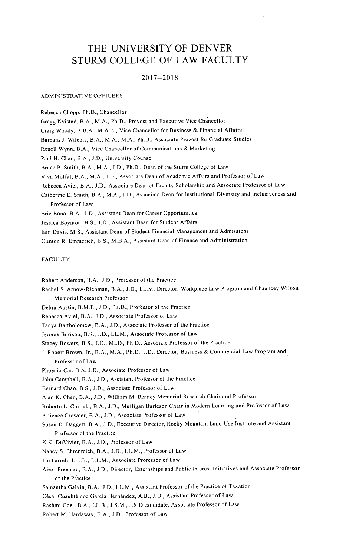#### THE **UNIVERSITY** OF DENVER STURM **COLLEGE** OF LAW **FACULTY**

#### **2017-2018**

#### ADMINISTRATIVE OFFICERS

Rebecca Chopp, Ph.D., Chancellor Gregg Kvistad, B.A., M.A., Ph.D., Provost and Executive Vice Chancellor Craig Woody, B.B.A., M.Acc., Vice Chancellor for Business **&** Financial Affairs Barbara **J.** Wilcots, B.A., M.A., M.A., Ph.D., Associate Provost for Graduate Studies Renell Wynn, B.A., Vice Chancellor of Communications **&** Marketing Paul H. Chan, B.A., **J.D.,** University Counsel Bruce P. Smith, B.A., M.A., **J.D.,** Ph.D., Dean of the Sturm College of Law Viva Moffat, B.A., M.A., **LD.,** Associate Dean of Academic Affairs and Professor of Law Rebecca Aviel, B.A., **J.D.,** Associate Dean of Faculty Scholarship and Associate Professor of Law Catherine **E.** Smith, B.A., M.A., **J.D.,** Associate Dean for Institutional Diversity and Inclusiveness and Professor of Law Eric Bono, B.A., **J.D.,** Assistant Dean for Career Opportunities Jessica Boynton, B.S., **J.D.,** Assistant Dean for Student Affairs

lain Davis, **M.S.,** Assistant Dean of Student Financial Management and Admissions

Clinton R. Emmerich, B.S., M.B.A., Assistant Dean of Finance and Administration

#### **FACULTY**

Robert Anderson, B.A., **J.D.,** Professor of the Practice

Rachel **S.** Arnow-Richman, B.A., **J.D.,** LL.M, Director, Workplace Law Program and Chauncey Wilson Memorial Research Professor

Debra Austin, B.M.E., **J.D.,** Ph.D., Professor of the Practice

Rebecca Aviel, B.A., **J.D.,** Associate Professor of Law

Tanya Bartholomew, B.A., **J.D.,** Associate Professor of the Practice

Jerome Borison, B.S., **LD.,** LL.M., Associate Professor of Law

Stacey Bowers, B.S., **J.D., MLIS,** Ph.D., Associate Professor of the Practice

**J.** Robert Brown, Jr., B.A., M.A., Ph.D., **J.D.,** Director, Business **&** Commercial Law Program and Professor of Law

Phoenix Cai, B.A, **J.D.,** Associate Professor of Law

John Campbell, B.A., **J.D.,** Assistant Professor of the Practice

Bernard Chao, B.S., **J.D.,** Associate Professor of Law

Alan K. Chen, B.A., **J.D.,** William M. Beaney Memorial Research Chair and Professor

Roberto L. Corrada, B.A., **J.D.,** Mulligan Burleson Chair in Modem Learning and Professor of Law

Patience Crowder, B.A., **J.D.,** Associate Professor of Law

Susan **D.** Daggett, B.A., **J.D.,** Executive Director, Rocky Mountain Land Use Institute and Assistant Professor of the Practice

K.K. DuVivier, B.A., **J.D.,** Professor of Law

Nancy **S.** Ehrenreich, B.A., **J.D.,** LL.M., Professor of Law

Ian Farrell, L.L.B., L.L.M., Associate Professor of Law

Alexi Freeman, B.A., **J.D.,** Director, Externships and Public Interest Initiatives and Associate Professor of the Practice

Samantha Galvin, B.A., **J.D.,** LL.M., Assistant Professor of the Practice of Taxation

César Cuauhtémoc García Hernández, A.B., J.D., Assistant Professor of Law

Rashmi Goel, B.A., LL.B., **J.S.M., J.S.D** candidate, Associate Professor of Law

Robert M. Hardaway, B.A., **J.D.,** Professor of Law